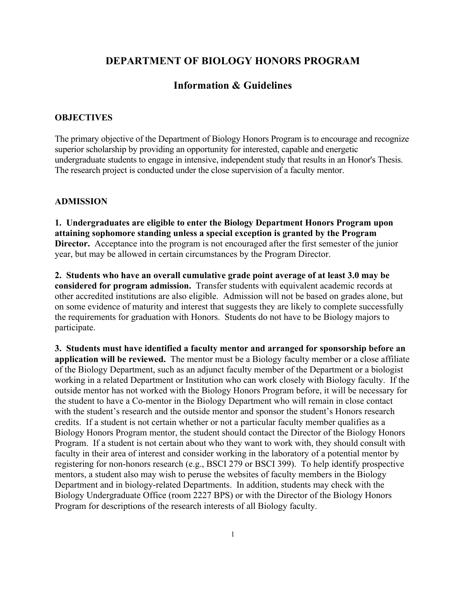# **DEPARTMENT OF BIOLOGY HONORS PROGRAM**

## **Information & Guidelines**

### **OBJECTIVES**

The primary objective of the Department of Biology Honors Program is to encourage and recognize superior scholarship by providing an opportunity for interested, capable and energetic undergraduate students to engage in intensive, independent study that results in an Honor's Thesis. The research project is conducted under the close supervision of a faculty mentor.

#### **ADMISSION**

**1. Undergraduates are eligible to enter the Biology Department Honors Program upon attaining sophomore standing unless a special exception is granted by the Program Director.** Acceptance into the program is not encouraged after the first semester of the junior year, but may be allowed in certain circumstances by the Program Director.

**2. Students who have an overall cumulative grade point average of at least 3.0 may be considered for program admission.** Transfer students with equivalent academic records at other accredited institutions are also eligible. Admission will not be based on grades alone, but on some evidence of maturity and interest that suggests they are likely to complete successfully the requirements for graduation with Honors. Students do not have to be Biology majors to participate.

**3. Students must have identified a faculty mentor and arranged for sponsorship before an application will be reviewed.** The mentor must be a Biology faculty member or a close affiliate of the Biology Department, such as an adjunct faculty member of the Department or a biologist working in a related Department or Institution who can work closely with Biology faculty. If the outside mentor has not worked with the Biology Honors Program before, it will be necessary for the student to have a Co-mentor in the Biology Department who will remain in close contact with the student's research and the outside mentor and sponsor the student's Honors research credits. If a student is not certain whether or not a particular faculty member qualifies as a Biology Honors Program mentor, the student should contact the Director of the Biology Honors Program. If a student is not certain about who they want to work with, they should consult with faculty in their area of interest and consider working in the laboratory of a potential mentor by registering for non-honors research (e.g., BSCI 279 or BSCI 399). To help identify prospective mentors, a student also may wish to peruse the websites of faculty members in the Biology Department and in biology-related Departments. In addition, students may check with the Biology Undergraduate Office (room 2227 BPS) or with the Director of the Biology Honors Program for descriptions of the research interests of all Biology faculty.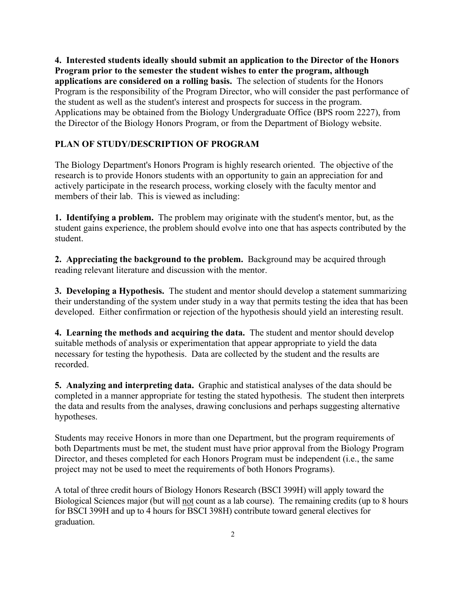**4. Interested students ideally should submit an application to the Director of the Honors Program prior to the semester the student wishes to enter the program, although applications are considered on a rolling basis.** The selection of students for the Honors Program is the responsibility of the Program Director, who will consider the past performance of the student as well as the student's interest and prospects for success in the program. Applications may be obtained from the Biology Undergraduate Office (BPS room 2227), from the Director of the Biology Honors Program, or from the Department of Biology website.

## **PLAN OF STUDY/DESCRIPTION OF PROGRAM**

The Biology Department's Honors Program is highly research oriented. The objective of the research is to provide Honors students with an opportunity to gain an appreciation for and actively participate in the research process, working closely with the faculty mentor and members of their lab. This is viewed as including:

**1. Identifying a problem.** The problem may originate with the student's mentor, but, as the student gains experience, the problem should evolve into one that has aspects contributed by the student.

**2. Appreciating the background to the problem.** Background may be acquired through reading relevant literature and discussion with the mentor.

**3. Developing a Hypothesis.** The student and mentor should develop a statement summarizing their understanding of the system under study in a way that permits testing the idea that has been developed. Either confirmation or rejection of the hypothesis should yield an interesting result.

**4. Learning the methods and acquiring the data.** The student and mentor should develop suitable methods of analysis or experimentation that appear appropriate to yield the data necessary for testing the hypothesis. Data are collected by the student and the results are recorded.

**5. Analyzing and interpreting data.** Graphic and statistical analyses of the data should be completed in a manner appropriate for testing the stated hypothesis. The student then interprets the data and results from the analyses, drawing conclusions and perhaps suggesting alternative hypotheses.

Students may receive Honors in more than one Department, but the program requirements of both Departments must be met, the student must have prior approval from the Biology Program Director, and theses completed for each Honors Program must be independent (i.e., the same project may not be used to meet the requirements of both Honors Programs).

A total of three credit hours of Biology Honors Research (BSCI 399H) will apply toward the Biological Sciences major (but will not count as a lab course). The remaining credits (up to 8 hours for BSCI 399H and up to 4 hours for BSCI 398H) contribute toward general electives for graduation.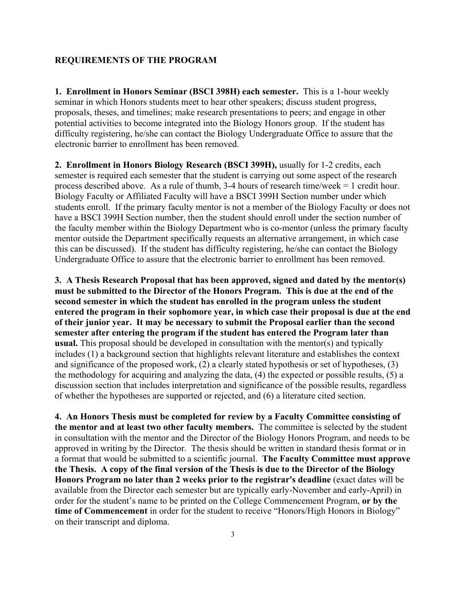#### **REQUIREMENTS OF THE PROGRAM**

**1. Enrollment in Honors Seminar (BSCI 398H) each semester.** This is a 1-hour weekly seminar in which Honors students meet to hear other speakers; discuss student progress, proposals, theses, and timelines; make research presentations to peers; and engage in other potential activities to become integrated into the Biology Honors group. If the student has difficulty registering, he/she can contact the Biology Undergraduate Office to assure that the electronic barrier to enrollment has been removed.

**2. Enrollment in Honors Biology Research (BSCI 399H),** usually for 1-2 credits, each semester is required each semester that the student is carrying out some aspect of the research process described above. As a rule of thumb, 3-4 hours of research time/week = 1 credit hour. Biology Faculty or Affiliated Faculty will have a BSCI 399H Section number under which students enroll. If the primary faculty mentor is not a member of the Biology Faculty or does not have a BSCI 399H Section number, then the student should enroll under the section number of the faculty member within the Biology Department who is co-mentor (unless the primary faculty mentor outside the Department specifically requests an alternative arrangement, in which case this can be discussed). If the student has difficulty registering, he/she can contact the Biology Undergraduate Office to assure that the electronic barrier to enrollment has been removed.

**3. A Thesis Research Proposal that has been approved, signed and dated by the mentor(s) must be submitted to the Director of the Honors Program. This is due at the end of the second semester in which the student has enrolled in the program unless the student entered the program in their sophomore year, in which case their proposal is due at the end of their junior year. It may be necessary to submit the Proposal earlier than the second semester after entering the program if the student has entered the Program later than usual.** This proposal should be developed in consultation with the mentor(s) and typically includes (1) a background section that highlights relevant literature and establishes the context and significance of the proposed work, (2) a clearly stated hypothesis or set of hypotheses, (3) the methodology for acquiring and analyzing the data, (4) the expected or possible results, (5) a discussion section that includes interpretation and significance of the possible results, regardless of whether the hypotheses are supported or rejected, and (6) a literature cited section.

**4. An Honors Thesis must be completed for review by a Faculty Committee consisting of the mentor and at least two other faculty members.** The committee is selected by the student in consultation with the mentor and the Director of the Biology Honors Program, and needs to be approved in writing by the Director. The thesis should be written in standard thesis format or in a format that would be submitted to a scientific journal. **The Faculty Committee must approve the Thesis. A copy of the final version of the Thesis is due to the Director of the Biology Honors Program no later than 2 weeks prior to the registrar's deadline** (exact dates will be available from the Director each semester but are typically early-November and early-April) in order for the student's name to be printed on the College Commencement Program, **or by the time of Commencement** in order for the student to receive "Honors/High Honors in Biology" on their transcript and diploma.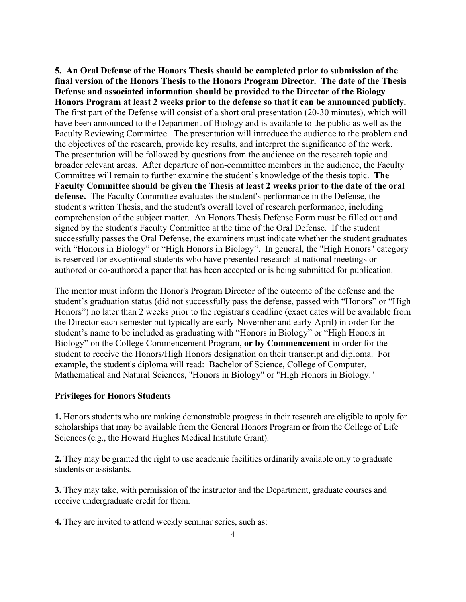**5. An Oral Defense of the Honors Thesis should be completed prior to submission of the final version of the Honors Thesis to the Honors Program Director. The date of the Thesis Defense and associated information should be provided to the Director of the Biology Honors Program at least 2 weeks prior to the defense so that it can be announced publicly.**  The first part of the Defense will consist of a short oral presentation (20-30 minutes), which will have been announced to the Department of Biology and is available to the public as well as the Faculty Reviewing Committee. The presentation will introduce the audience to the problem and the objectives of the research, provide key results, and interpret the significance of the work. The presentation will be followed by questions from the audience on the research topic and broader relevant areas. After departure of non-committee members in the audience, the Faculty Committee will remain to further examine the student's knowledge of the thesis topic. **The Faculty Committee should be given the Thesis at least 2 weeks prior to the date of the oral defense.** The Faculty Committee evaluates the student's performance in the Defense, the student's written Thesis, and the student's overall level of research performance, including comprehension of the subject matter. An Honors Thesis Defense Form must be filled out and signed by the student's Faculty Committee at the time of the Oral Defense. If the student successfully passes the Oral Defense, the examiners must indicate whether the student graduates with "Honors in Biology" or "High Honors in Biology". In general, the "High Honors" category is reserved for exceptional students who have presented research at national meetings or authored or co-authored a paper that has been accepted or is being submitted for publication.

The mentor must inform the Honor's Program Director of the outcome of the defense and the student's graduation status (did not successfully pass the defense, passed with "Honors" or "High Honors") no later than 2 weeks prior to the registrar's deadline (exact dates will be available from the Director each semester but typically are early-November and early-April) in order for the student's name to be included as graduating with "Honors in Biology" or "High Honors in Biology" on the College Commencement Program, **or by Commencement** in order for the student to receive the Honors/High Honors designation on their transcript and diploma. For example, the student's diploma will read: Bachelor of Science, College of Computer, Mathematical and Natural Sciences, "Honors in Biology" or "High Honors in Biology."

### **Privileges for Honors Students**

**1.** Honors students who are making demonstrable progress in their research are eligible to apply for scholarships that may be available from the General Honors Program or from the College of Life Sciences (e.g., the Howard Hughes Medical Institute Grant).

**2.** They may be granted the right to use academic facilities ordinarily available only to graduate students or assistants.

**3.** They may take, with permission of the instructor and the Department, graduate courses and receive undergraduate credit for them.

**4.** They are invited to attend weekly seminar series, such as: